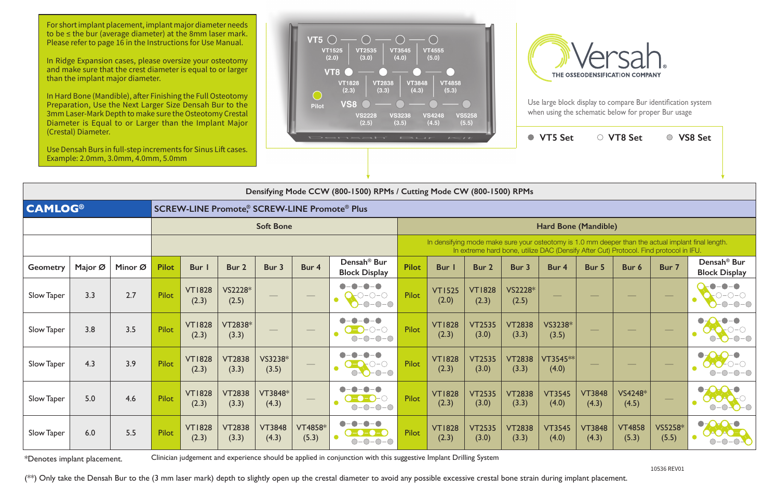Use large block display to compare Bur identification system when using the schematic below for proper Bur usage

| $U$ icstai) Diametei.<br>Use Densah Burs in full-step increments for Sinus Lift cases.<br>Example: 2.0mm, 3.0mm, 4.0mm, 5.0mm |         |         |                  |                                                     |                        |                        | Densah' Bur<br>$I = I$ |                                                         |              |                                                                                                                                                                                             |                        |                        | <b>VT5 Set</b>         |                        | ○ VT8 Set              |                          | ○ VS8 Set                                           |  |  |
|-------------------------------------------------------------------------------------------------------------------------------|---------|---------|------------------|-----------------------------------------------------|------------------------|------------------------|------------------------|---------------------------------------------------------|--------------|---------------------------------------------------------------------------------------------------------------------------------------------------------------------------------------------|------------------------|------------------------|------------------------|------------------------|------------------------|--------------------------|-----------------------------------------------------|--|--|
|                                                                                                                               |         |         |                  |                                                     |                        |                        |                        |                                                         |              |                                                                                                                                                                                             |                        |                        |                        |                        |                        |                          |                                                     |  |  |
| Densifying Mode CCW (800-1500) RPMs / Cutting Mode CW (800-1500) RPMs                                                         |         |         |                  |                                                     |                        |                        |                        |                                                         |              |                                                                                                                                                                                             |                        |                        |                        |                        |                        |                          |                                                     |  |  |
| <b>CAMLOG®</b>                                                                                                                |         |         |                  | <b>SCREW-LINE Promote® SCREW-LINE Promote® Plus</b> |                        |                        |                        |                                                         |              |                                                                                                                                                                                             |                        |                        |                        |                        |                        |                          |                                                     |  |  |
|                                                                                                                               |         |         | <b>Soft Bone</b> |                                                     |                        |                        |                        |                                                         |              | Hard Bone (Mandible)                                                                                                                                                                        |                        |                        |                        |                        |                        |                          |                                                     |  |  |
|                                                                                                                               |         |         |                  |                                                     |                        |                        |                        |                                                         |              | In densifying mode make sure your osteotomy is 1.0 mm deeper than the actual implant final length.<br>In extreme hard bone, utilize DAC (Densify After Cut) Protocol. Find protocol in IFU. |                        |                        |                        |                        |                        |                          |                                                     |  |  |
| <b>Geometry</b>                                                                                                               | Major Ø | Minor Ø | <b>Pilot</b>     | Bur I                                               | Bur 2                  | Bur 3                  | Bur 4                  | Densah <sup>®</sup> Bur<br><b>Block Display</b>         | <b>Pilot</b> | <b>Bur</b> I                                                                                                                                                                                | Bur 2                  | Bur 3                  | Bur 4                  | Bur 5                  | Bur 6                  | Bur 7                    | Densah <sup>®</sup> Bur<br><b>Block Display</b>     |  |  |
| Slow Taper                                                                                                                    | 3.3     | 2.7     | Pilot            | <b>VT1828</b><br>(2.3)                              | VS2228*<br>(2.5)       |                        |                        | $-\bullet-\bullet$<br>$O-O-O-$<br>$\bullet$<br>$-0-0-0$ | <b>Pilot</b> | <b>VT1525</b><br>(2.0)                                                                                                                                                                      | <b>VT1828</b><br>(2.3) | VS2228*<br>(2.5)       |                        |                        |                        | $\overline{\phantom{0}}$ | $   \bullet$<br>$O-O-O$<br>$-0-0-$                  |  |  |
| Slow Taper                                                                                                                    | 3.8     | 3.5     | Pilot            | <b>VT1828</b><br>(2.3)                              | VT2838*<br>(3.3)       |                        |                        | $-O$ - $O$<br>$O-O-O-O$                                 | <b>Pilot</b> | <b>VT1828</b><br>(2.3)                                                                                                                                                                      | <b>VT2535</b><br>(3.0) | <b>VT2838</b><br>(3.3) | VS3238*<br>(3.5)       |                        |                        | $\overline{\phantom{0}}$ | $\bullet$<br>$\bullet$ -0-0                         |  |  |
| Slow Taper                                                                                                                    | 4.3     | 3.9     | Pilot            | <b>VT1828</b><br>(2.3)                              | <b>VT2838</b><br>(3.3) | VS3238*<br>(3.5)       |                        | $O-O$<br>$0 - 0 - 0$                                    | <b>Pilot</b> | <b>VT1828</b><br>(2.3)                                                                                                                                                                      | <b>VT2535</b><br>(3.0) | <b>VT2838</b><br>(3.3) | VT3545**<br>(4.0)      |                        |                        | المستحيل                 | $\bullet$ OrO- $\bullet$<br>$A + C - C$<br>$-0-0-0$ |  |  |
| Slow Taper                                                                                                                    | 5.0     | 4.6     | Pilot            | <b>VT1828</b><br>(2.3)                              | <b>VT2838</b><br>(3.3) | VT3848*<br>(4.3)       |                        | $-O-O$<br>$O-O-O-O$                                     | <b>Pilot</b> | <b>VT1828</b><br>(2.3)                                                                                                                                                                      | <b>VT2535</b><br>(3.0) | <b>VT2838</b><br>(3.3) | <b>VT3545</b><br>(4.0) | <b>VT3848</b><br>(4.3) | VS4248*<br>(4.5)       | $\overline{\phantom{0}}$ | $\bullet$<br><b>DAOA</b><br>$\bullet$<br>$\bigcap$  |  |  |
| Slow Taper                                                                                                                    | 6.0     | 5.5     | Pilot            | <b>VT1828</b><br>(2.3)                              | <b>VT2838</b><br>(3.3) | <b>VT3848</b><br>(4.3) | VT4858*<br>(5.3)       | -0-0-0<br>$O-O-O-O$                                     | <b>Pilot</b> | <b>VT1828</b><br>(2.3)                                                                                                                                                                      | <b>VT2535</b><br>(3.0) | <b>VT2838</b><br>(3.3) | <b>VT3545</b><br>(4.0) | <b>VT3848</b><br>(4.3) | <b>VT4858</b><br>(5.3) | VS5258*<br>(5.5)         | $\bullet$<br>DAOAO:<br>$O-O-O-O$                    |  |  |

\*Denotes implant placement. Clinician judgement and experience should be applied in conjunction with this suggestive Implant Drilling System

(\*\*) Only take the Densah Bur to the (3 mm laser mark) depth to slightly open up the crestal diameter to avoid any possible excessive crestal bone strain during implant placement.

For short implant placement, implant major diameter needs to be ≤ the bur (average diameter) at the 8mm laser mark. Please refer to page 16 in the Instructions for Use Manual.

In Ridge Expansion cases, please oversize your osteotomy and make sure that the crest diameter is equal to or larger than the implant major diameter.

In Hard Bone (Mandible), after Finishing the Full Osteotomy Preparation, Use the Next Larger Size Densah Bur to the 3mm Laser-Mark Depth to make sure the Osteotomy Crestal Diameter is Equal to or Larger than the Implant Major (Crestal) Diameter.